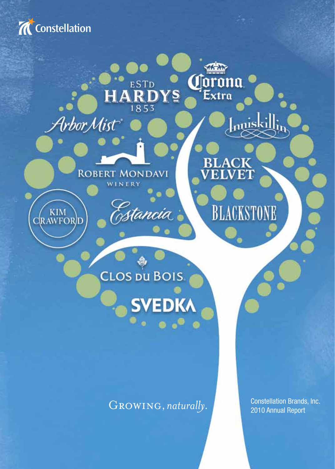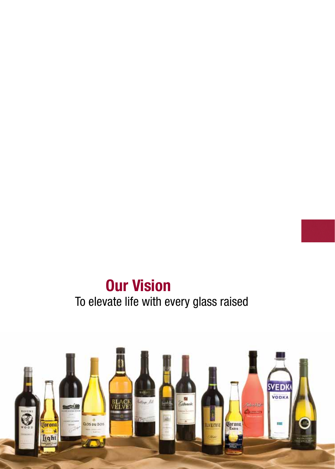# **Our Vision** To elevate life with every glass raised

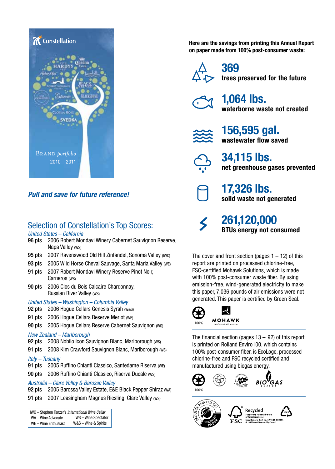

### *Pull and save for future reference!*

## Selection of Constellation's Top Scores:

#### *United States – California*

- 96 pts 2006 Robert Mondavi Winery Cabernet Sauvignon Reserve, Napa Valley (WS)
- 95 pts 2007 Ravenswood Old Hill Zinfandel, Sonoma Valley (IWC)
- 93 pts 2005 Wild Horse Cheval Sauvage, Santa Maria Valley (WE)
- 91 pts 2007 Robert Mondavi Winery Reserve Pinot Noir, Carneros (WS)
- 90 pts 2006 Clos du Bois Calcaire Chardonnay, Russian River Valley (WS)
- *United States Washington Columbia Valley*

92 pts 2006 Hoque Cellars Genesis Syrah (W&S)

- 91 pts 2006 Hoque Cellars Reserve Merlot (WE)
- 90 pts 2005 Hogue Cellars Reserve Cabernet Sauvignon (WS)

#### *New Zealand – Marlborough*

- 92 pts 2008 Nobilo Icon Sauvignon Blanc, Marlborough (WS)
- 91 pts 2008 Kim Crawford Sauvignon Blanc, Marlborough (ws)

#### *Italy – Tuscany*

- 91 pts 2005 Ruffino Chianti Classico, Santedame Riserva (WE)
- 90 pts 2006 Ruffino Chianti Classico, Riserva Ducale (WS)

#### *Australia – Clare Valley & Barossa Valley*

92 pts 2005 Barossa Valley Estate, E&E Black Pepper Shiraz (WA)

91 pts 2007 Leasingham Magnus Riesling, Clare Valley (WS)

```
WA – Wine Advocate
WE – Wine Enthusiast
                           WS – Wine Spectator
                         W&S – Wine & Spirits
IWC – Stephen Tanzer's International Wine Cellar
```
**Here are the savings from printing this Annual Report on paper made from 100% post-consumer waste:**



**369 trees preserved for the future**



**1,064 lbs. waterborne waste not created**



**156,595 gal. wastewater flow saved**



**34,115 lbs. net greenhouse gases prevented**

**17,326 lbs. solid waste not generated**



**261,120,000 BTUs energy not consumed**

The cover and front section (pages  $1 - 12$ ) of this report are printed on processed chlorine-free, FSC-certified Mohawk Solutions, which is made with 100% post-consumer waste fiber. By using emission-free, wind-generated electricity to make this paper, 7,036 pounds of air emissions were not generated. This paper is certified by Green Seal.



**MOHAWK** 

The financial section (pages  $13 - 92$ ) of this report is printed on Rolland Enviro100, which contains 100% post-consumer fiber, is EcoLogo, processed chlorine-free and FSC recycled certified and manufactured using biogas energy.